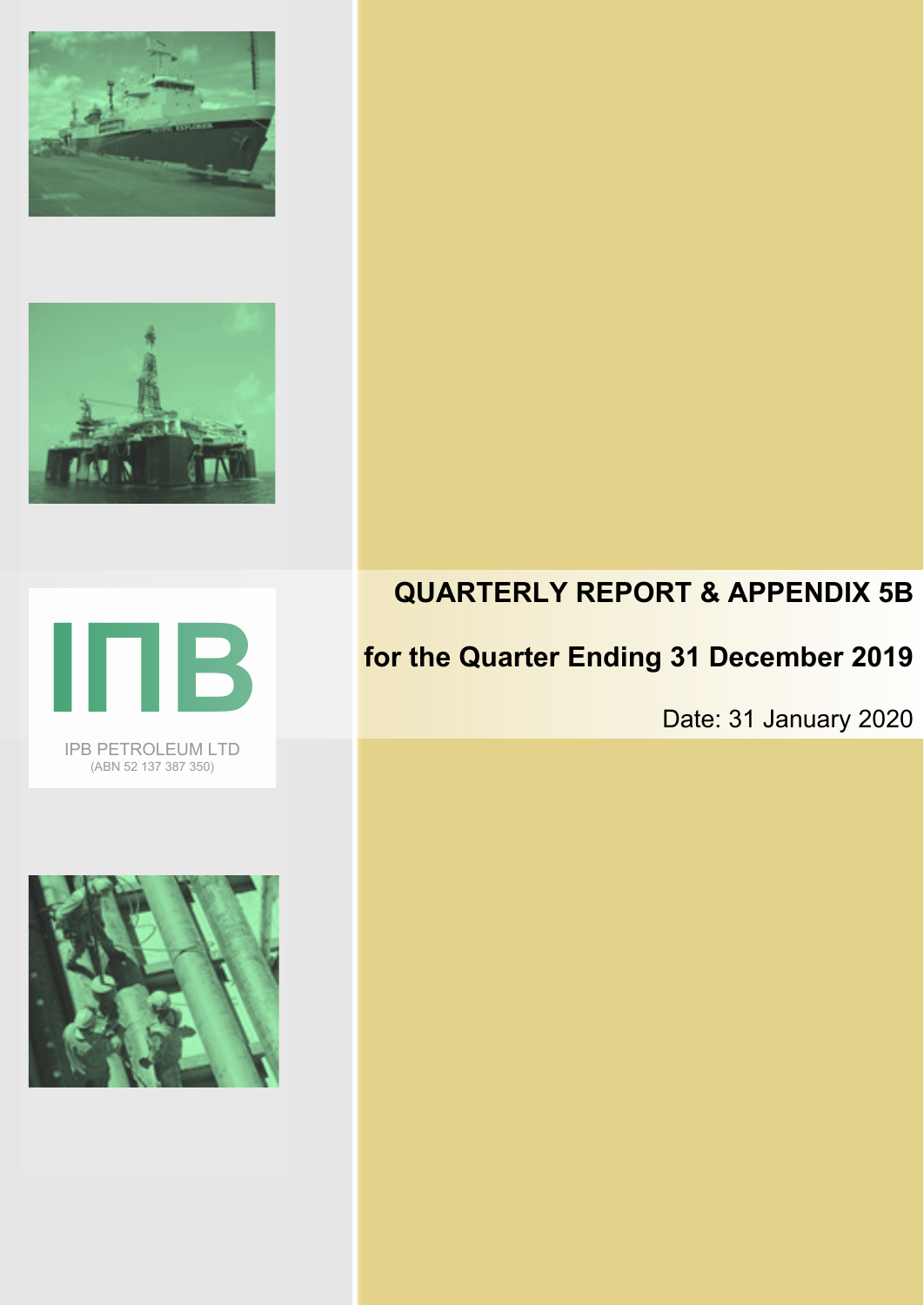







# **QUARTERLY REPORT & APPENDIX 5B**

# **for the Quarter Ending 31 December 2019**

Date: 31 January 2020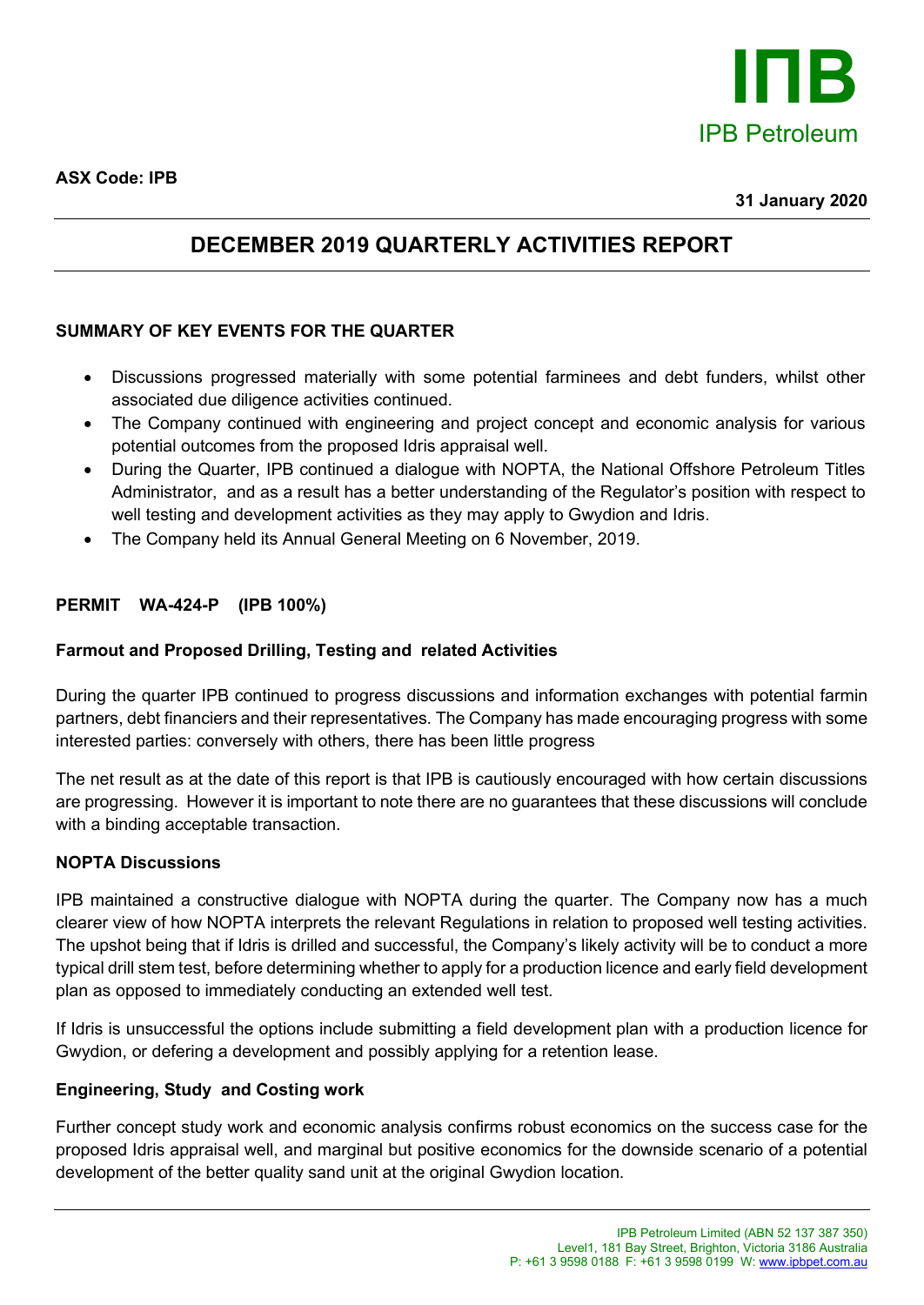

### **DECEMBER 2019 QUARTERLY ACTIVITIES REPORT**

### **SUMMARY OF KEY EVENTS FOR THE QUARTER**

- Discussions progressed materially with some potential farminees and debt funders, whilst other associated due diligence activities continued.
- The Company continued with engineering and project concept and economic analysis for various potential outcomes from the proposed Idris appraisal well.
- During the Quarter, IPB continued a dialogue with NOPTA, the National Offshore Petroleum Titles Administrator, and as a result has a better understanding of the Regulator's position with respect to well testing and development activities as they may apply to Gwydion and Idris.
- The Company held its Annual General Meeting on 6 November, 2019.

### **PERMIT WA-424-P (IPB 100%)**

### **Farmout and Proposed Drilling, Testing and related Activities**

During the quarter IPB continued to progress discussions and information exchanges with potential farmin partners, debt financiers and their representatives. The Company has made encouraging progress with some interested parties: conversely with others, there has been little progress

The net result as at the date of this report is that IPB is cautiously encouraged with how certain discussions are progressing. However it is important to note there are no guarantees that these discussions will conclude with a binding acceptable transaction.

### **NOPTA Discussions**

IPB maintained a constructive dialogue with NOPTA during the quarter. The Company now has a much clearer view of how NOPTA interprets the relevant Regulations in relation to proposed well testing activities. The upshot being that if Idris is drilled and successful, the Company's likely activity will be to conduct a more typical drill stem test, before determining whether to apply for a production licence and early field development plan as opposed to immediately conducting an extended well test.

If Idris is unsuccessful the options include submitting a field development plan with a production licence for Gwydion, or defering a development and possibly applying for a retention lease.

### **Engineering, Study and Costing work**

Further concept study work and economic analysis confirms robust economics on the success case for the proposed Idris appraisal well, and marginal but positive economics for the downside scenario of a potential development of the better quality sand unit at the original Gwydion location.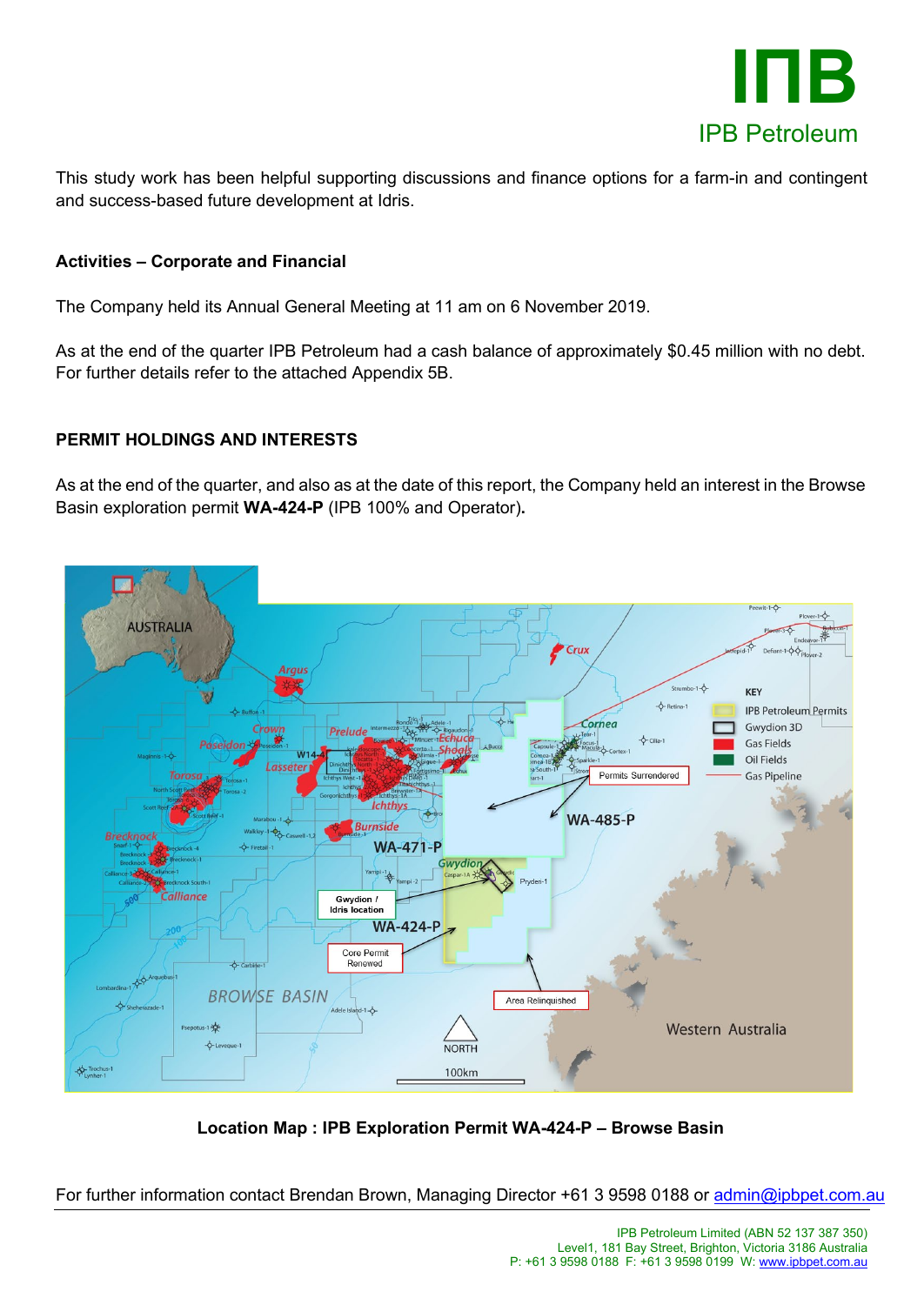

This study work has been helpful supporting discussions and finance options for a farm-in and contingent and success-based future development at Idris.

### **Activities – Corporate and Financial**

The Company held its Annual General Meeting at 11 am on 6 November 2019.

As at the end of the quarter IPB Petroleum had a cash balance of approximately \$0.45 million with no debt. For further details refer to the attached Appendix 5B.

### **PERMIT HOLDINGS AND INTERESTS**

As at the end of the quarter, and also as at the date of this report, the Company held an interest in the Browse Basin exploration permit **WA-424-P** (IPB 100% and Operator)**.**



**Location Map : IPB Exploration Permit WA-424-P – Browse Basin**

For further information contact Brendan Brown, Managing Director +61 3 9598 0188 or [admin@ipbpet.com.au](mailto:admin@ipbpet.com.au)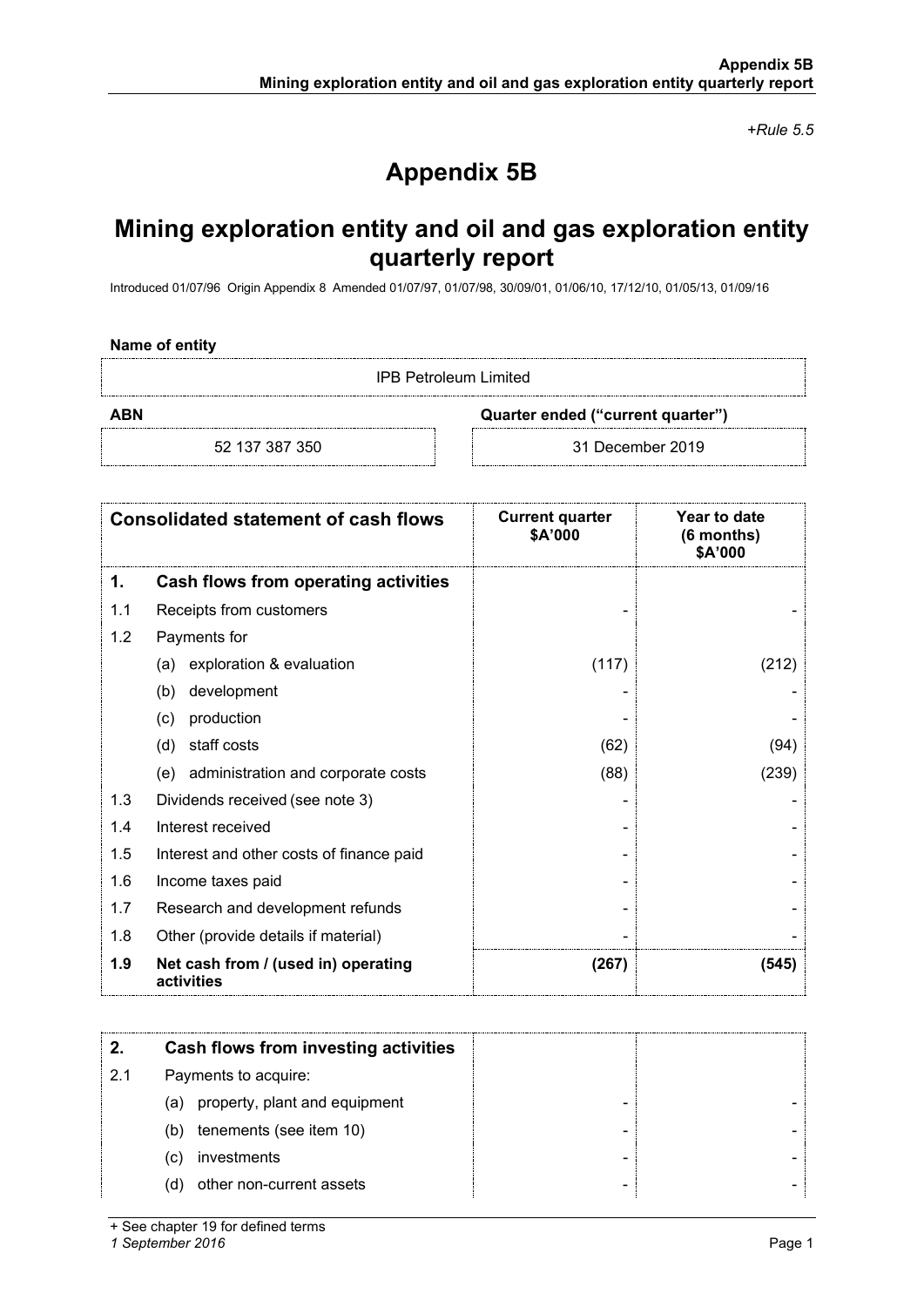*+Rule 5.5*

## **Appendix 5B**

## **Mining exploration entity and oil and gas exploration entity quarterly report**

Introduced 01/07/96 Origin Appendix 8 Amended 01/07/97, 01/07/98, 30/09/01, 01/06/10, 17/12/10, 01/05/13, 01/09/16

#### **Name of entity**

IPB Petroleum Limited

**ABN Quarter ended ("current quarter")**

52 137 387 350 31 December 2019

| <b>Consolidated statement of cash flows</b> |                                                   | <b>Current quarter</b><br>\$A'000 | Year to date<br>(6 months)<br>\$A'000 |
|---------------------------------------------|---------------------------------------------------|-----------------------------------|---------------------------------------|
| 1.                                          | Cash flows from operating activities              |                                   |                                       |
| 1.1                                         | Receipts from customers                           |                                   |                                       |
| 1.2                                         | Payments for                                      |                                   |                                       |
|                                             | exploration & evaluation<br>(a)                   | (117)                             | (212)                                 |
|                                             | development<br>(b)                                |                                   |                                       |
|                                             | production<br>(c)                                 |                                   |                                       |
|                                             | staff costs<br>(d)                                | (62)                              | (94)                                  |
|                                             | administration and corporate costs<br>(e)         | (88)                              | (239)                                 |
| 1.3                                         | Dividends received (see note 3)                   |                                   |                                       |
| 1.4                                         | Interest received                                 |                                   |                                       |
| 1.5                                         | Interest and other costs of finance paid          |                                   |                                       |
| 1.6                                         | Income taxes paid                                 |                                   |                                       |
| 1.7                                         | Research and development refunds                  |                                   |                                       |
| 1.8                                         | Other (provide details if material)               |                                   |                                       |
| 1.9                                         | Net cash from / (used in) operating<br>activities | (267)                             | (545)                                 |

|     | Cash flows from investing activities |  |
|-----|--------------------------------------|--|
| 2.1 | Payments to acquire:                 |  |
|     | (a) property, plant and equipment    |  |
|     | tenements (see item 10)<br>(b)       |  |
|     | investments<br>(C)                   |  |
|     | other non-current assets<br>(d)      |  |

+ See chapter 19 for defined terms

*1 September 2016* Page 1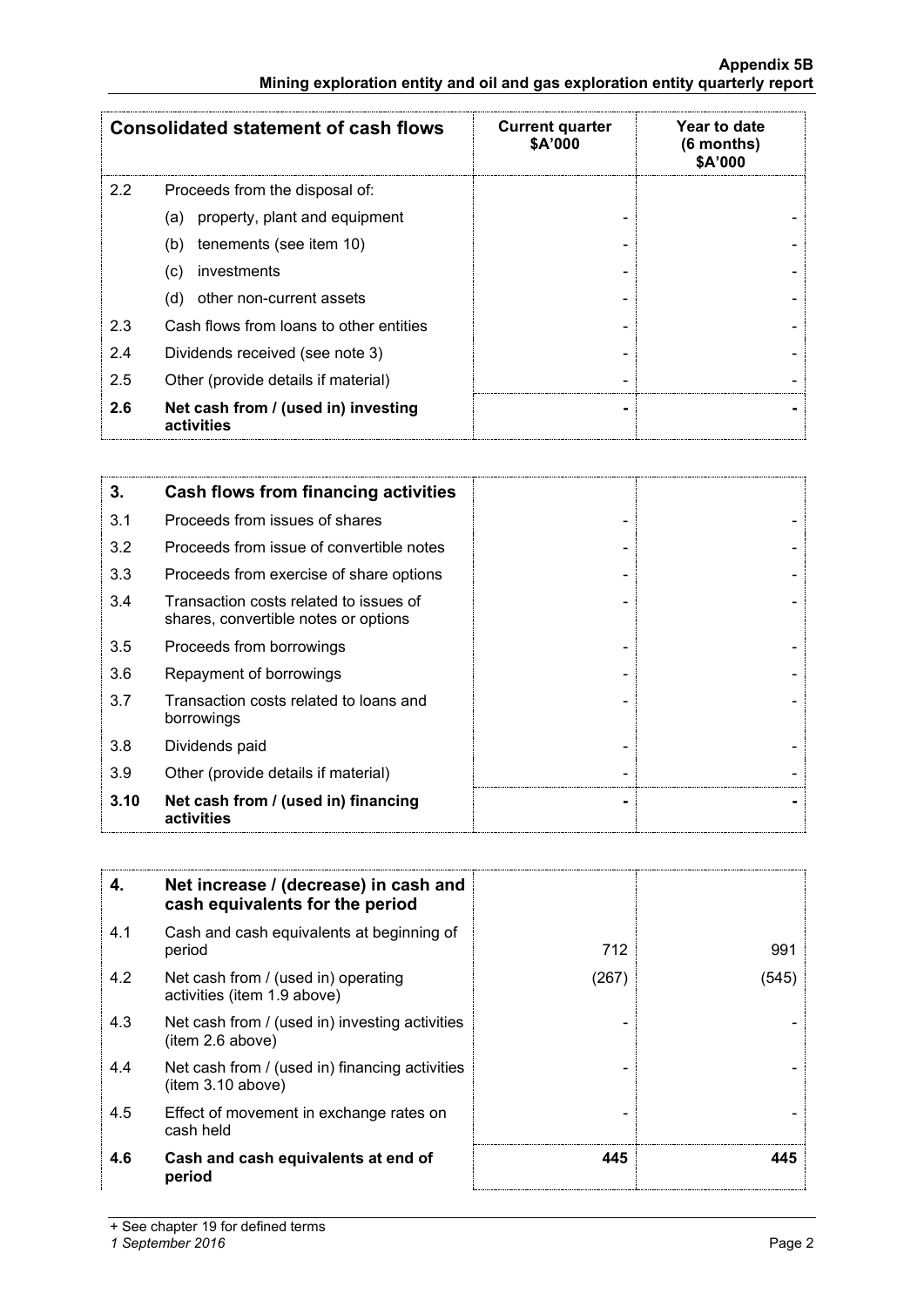### **Appendix 5B Mining exploration entity and oil and gas exploration entity quarterly report**

|     | <b>Consolidated statement of cash flows</b>       | <b>Current quarter</b><br>\$A'000 | Year to date<br>$(6$ months)<br>\$A'000 |
|-----|---------------------------------------------------|-----------------------------------|-----------------------------------------|
| 2.2 | Proceeds from the disposal of:                    |                                   |                                         |
|     | property, plant and equipment<br>(a)              |                                   |                                         |
|     | tenements (see item 10)<br>(b)                    |                                   |                                         |
|     | investments<br>(c)                                |                                   |                                         |
|     | other non-current assets<br>(d)                   |                                   |                                         |
| 2.3 | Cash flows from loans to other entities           |                                   |                                         |
| 2.4 | Dividends received (see note 3)                   |                                   |                                         |
| 2.5 | Other (provide details if material)               |                                   |                                         |
| 2.6 | Net cash from / (used in) investing<br>activities |                                   |                                         |

| 3.   | Cash flows from financing activities                                           |  |
|------|--------------------------------------------------------------------------------|--|
| 3.1  | Proceeds from issues of shares                                                 |  |
| 3.2  | Proceeds from issue of convertible notes                                       |  |
| 3.3  | Proceeds from exercise of share options                                        |  |
| 3.4  | Transaction costs related to issues of<br>shares, convertible notes or options |  |
| 3.5  | Proceeds from borrowings                                                       |  |
| 3.6  | Repayment of borrowings                                                        |  |
| 3.7  | Transaction costs related to loans and<br>borrowings                           |  |
| 3.8  | Dividends paid                                                                 |  |
| 3.9  | Other (provide details if material)                                            |  |
| 3.10 | Net cash from / (used in) financing<br>activities                              |  |

| 4.  | Net increase / (decrease) in cash and<br>cash equivalents for the period |       |       |
|-----|--------------------------------------------------------------------------|-------|-------|
| 4.1 | Cash and cash equivalents at beginning of<br>period                      | 712   | 991   |
| 4.2 | Net cash from / (used in) operating<br>activities (item 1.9 above)       | (267) | (545) |
| 4.3 | Net cash from / (used in) investing activities<br>(item 2.6 above)       |       |       |
| 4.4 | Net cash from / (used in) financing activities<br>(item 3.10 above)      |       |       |
| 4.5 | Effect of movement in exchange rates on<br>cash held                     |       |       |
| 4.6 | Cash and cash equivalents at end of<br>period                            | 445   | 145   |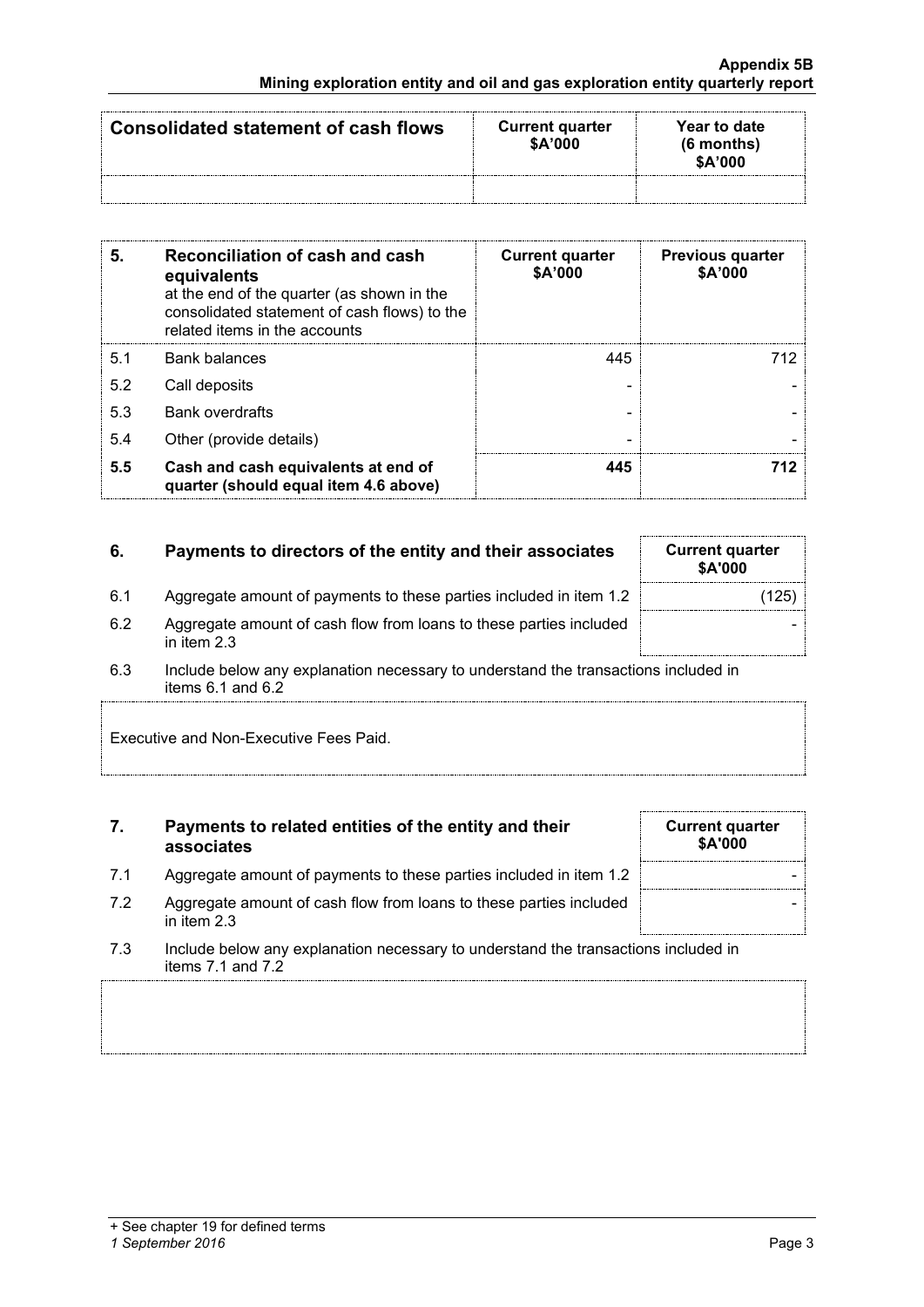| Consolidated statement of cash flows | <b>Current quarter</b><br>\$A'000 | Year to date<br>$(6$ months)<br>\$A'000 |
|--------------------------------------|-----------------------------------|-----------------------------------------|
|                                      |                                   |                                         |

| 5   | Reconciliation of cash and cash<br>equivalents<br>at the end of the quarter (as shown in the<br>consolidated statement of cash flows) to the<br>related items in the accounts | <b>Current quarter</b><br>\$A'000 | <b>Previous quarter</b><br>\$A'000 |
|-----|-------------------------------------------------------------------------------------------------------------------------------------------------------------------------------|-----------------------------------|------------------------------------|
| 5.1 | <b>Bank balances</b>                                                                                                                                                          | 445                               | 712.                               |
| 5.2 | Call deposits                                                                                                                                                                 |                                   |                                    |
| 5.3 | <b>Bank overdrafts</b>                                                                                                                                                        |                                   |                                    |
| 5.4 | Other (provide details)                                                                                                                                                       |                                   |                                    |
| 5.5 | Cash and cash equivalents at end of<br>quarter (should equal item 4.6 above)                                                                                                  |                                   | 712                                |

### **6.** Payments to directors of the entity and their associates

|    | <b>Current quarter</b><br>\$A'000 |  |
|----|-----------------------------------|--|
| .2 | (125)                             |  |
| эd |                                   |  |

- 6.1 Aggregate amount of payments to these parties included in item 1. 6.2 Aggregate amount of cash flow from loans to these parties include in item 2.3
- 6.3 Include below any explanation necessary to understand the transactions included in items 6.1 and 6.2

Executive and Non-Executive Fees Paid.

### **7. Payments to related entities of the entity and their associates**

- 7.1 Aggregate amount of payments to these parties included in item 1.2
- 7.2 Aggregate amount of cash flow from loans to these parties included in item 2.3
- 7.3 Include below any explanation necessary to understand the transactions included in items 7.1 and 7.2

### *1 September 2016* Page 3

| <b>Current quarter</b><br>\$A'000 |  |
|-----------------------------------|--|
|                                   |  |
|                                   |  |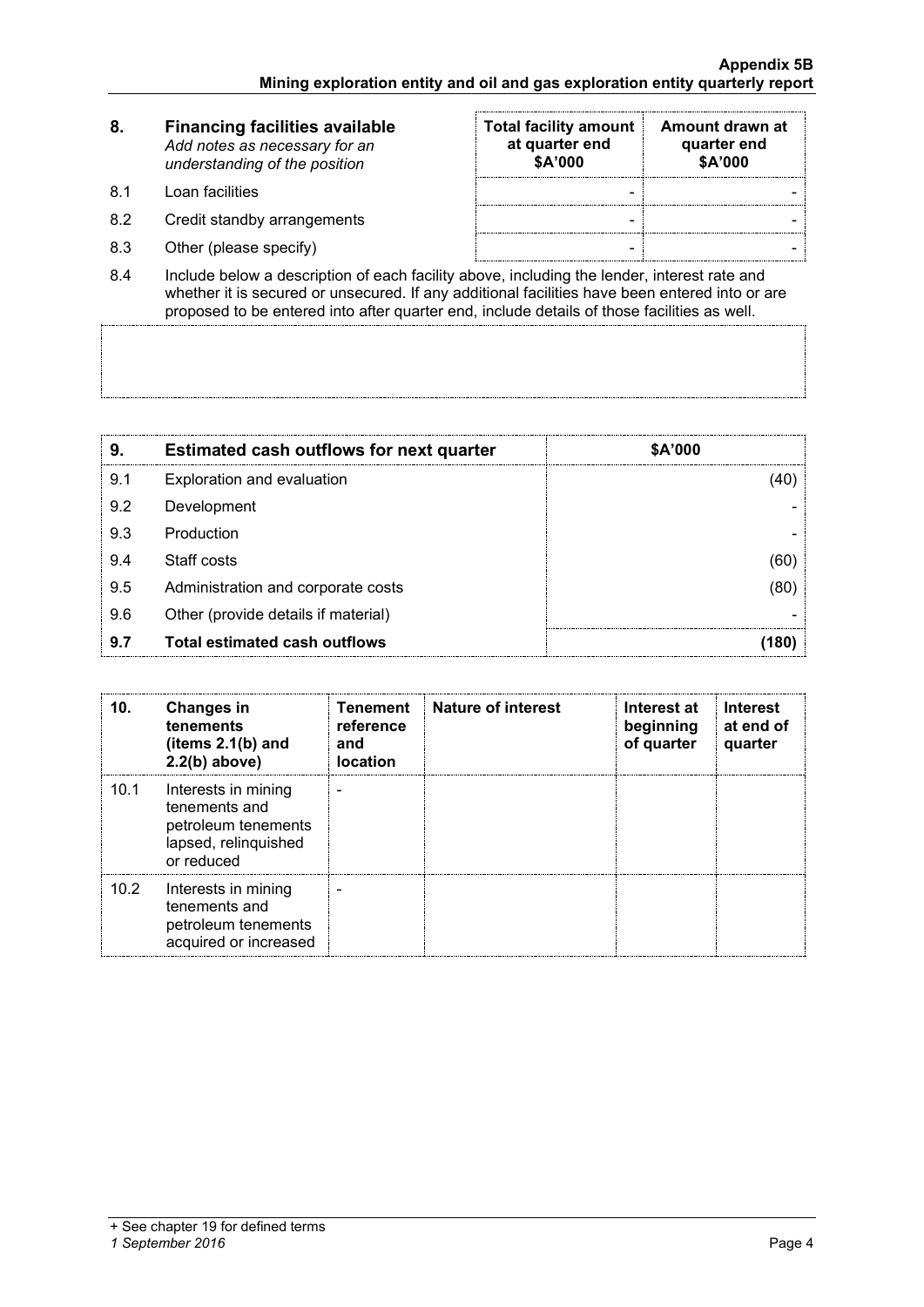| 8.   | <b>Financing facilities available</b><br>Add notes as necessary for an<br>understanding of the position | <b>Total facility amount</b><br>at quarter end<br>\$A'000 | Amount drawn at<br>quarter end<br>\$A'000 |
|------|---------------------------------------------------------------------------------------------------------|-----------------------------------------------------------|-------------------------------------------|
| -8.1 | Loan facilities.                                                                                        | -                                                         |                                           |
| 8.2  | Credit standby arrangements                                                                             | -                                                         |                                           |

- 8.3 Other (please specify) and the set of the set of the set of the set of the set of the set of the set of the set of the set of the set of the set of the set of the set of the set of the set of the set of the set of the
- 8.4 Include below a description of each facility above, including the lender, interest rate and whether it is secured or unsecured. If any additional facilities have been entered into or are proposed to be entered into after quarter end, include details of those facilities as well.

| 9   | <b>Estimated cash outflows for next quarter</b> | \$A'000 |
|-----|-------------------------------------------------|---------|
| 9.1 | Exploration and evaluation                      |         |
| 9.2 | Development                                     |         |
| 9.3 | Production                                      |         |
| 9.4 | Staff costs                                     |         |
| 9.5 | Administration and corporate costs              |         |
| 9.6 | Other (provide details if material)             |         |
| 9.7 | Total estimated cash outflows                   |         |

| 10.  | <b>Changes in</b><br>tenements<br>(items $2.1(b)$ and<br>$2.2(b)$ above)                          | <b>Tenement</b><br>reference<br>and<br><b>location</b> | <b>Nature of interest</b> | Interest at<br>beginning<br>of quarter | <b>Interest</b><br>at end of<br>quarter |
|------|---------------------------------------------------------------------------------------------------|--------------------------------------------------------|---------------------------|----------------------------------------|-----------------------------------------|
| 10.1 | Interests in mining<br>tenements and<br>petroleum tenements<br>lapsed, relinquished<br>or reduced |                                                        |                           |                                        |                                         |
| 10.2 | Interests in mining<br>tenements and<br>petroleum tenements<br>acquired or increased              |                                                        |                           |                                        |                                         |